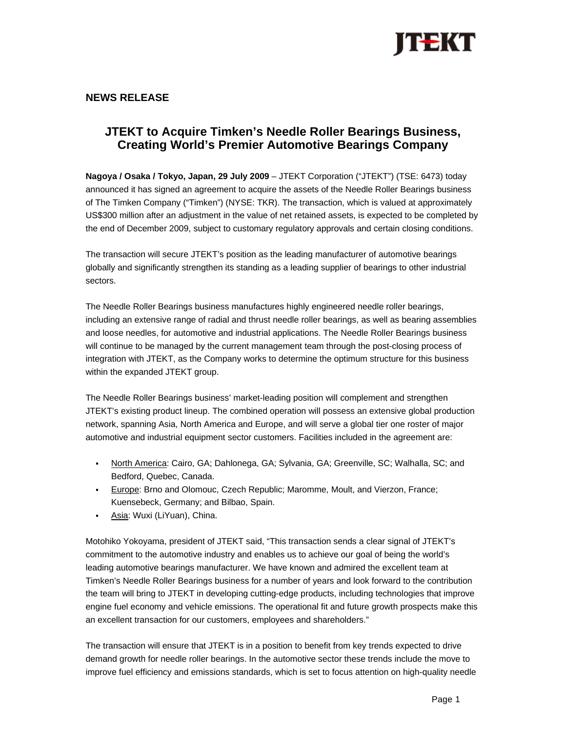

# **NEWS RELEASE**

# **JTEKT to Acquire Timken's Needle Roller Bearings Business, Creating World's Premier Automotive Bearings Company**

**Nagoya / Osaka / Tokyo, Japan, 29 July 2009** – JTEKT Corporation ("JTEKT") (TSE: 6473) today announced it has signed an agreement to acquire the assets of the Needle Roller Bearings business of The Timken Company ("Timken") (NYSE: TKR). The transaction, which is valued at approximately US\$300 million after an adjustment in the value of net retained assets, is expected to be completed by the end of December 2009, subject to customary regulatory approvals and certain closing conditions.

The transaction will secure JTEKT's position as the leading manufacturer of automotive bearings globally and significantly strengthen its standing as a leading supplier of bearings to other industrial sectors.

The Needle Roller Bearings business manufactures highly engineered needle roller bearings, including an extensive range of radial and thrust needle roller bearings, as well as bearing assemblies and loose needles, for automotive and industrial applications. The Needle Roller Bearings business will continue to be managed by the current management team through the post-closing process of integration with JTEKT, as the Company works to determine the optimum structure for this business within the expanded JTEKT group.

The Needle Roller Bearings business' market-leading position will complement and strengthen JTEKT's existing product lineup. The combined operation will possess an extensive global production network, spanning Asia, North America and Europe, and will serve a global tier one roster of major automotive and industrial equipment sector customers. Facilities included in the agreement are:

- North America: Cairo, GA; Dahlonega, GA; Sylvania, GA; Greenville, SC; Walhalla, SC; and Bedford, Quebec, Canada.
- Europe: Brno and Olomouc, Czech Republic; Maromme, Moult, and Vierzon, France; Kuensebeck, Germany; and Bilbao, Spain.
- Asia: Wuxi (LiYuan), China.

Motohiko Yokoyama, president of JTEKT said, "This transaction sends a clear signal of JTEKT's commitment to the automotive industry and enables us to achieve our goal of being the world's leading automotive bearings manufacturer. We have known and admired the excellent team at Timken's Needle Roller Bearings business for a number of years and look forward to the contribution the team will bring to JTEKT in developing cutting-edge products, including technologies that improve engine fuel economy and vehicle emissions. The operational fit and future growth prospects make this an excellent transaction for our customers, employees and shareholders."

The transaction will ensure that JTEKT is in a position to benefit from key trends expected to drive demand growth for needle roller bearings. In the automotive sector these trends include the move to improve fuel efficiency and emissions standards, which is set to focus attention on high-quality needle